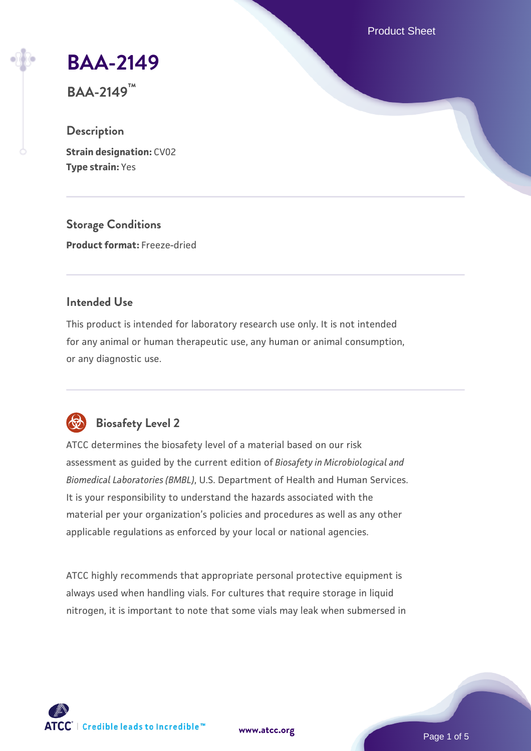Product Sheet

# **[BAA-2149](https://www.atcc.org/products/baa-2149)**

**BAA-2149™**

# **Description**

**Strain designation:** CV02 **Type strain:** Yes

**Storage Conditions Product format:** Freeze-dried

# **Intended Use**

This product is intended for laboratory research use only. It is not intended for any animal or human therapeutic use, any human or animal consumption, or any diagnostic use.



# **Biosafety Level 2**

ATCC determines the biosafety level of a material based on our risk assessment as guided by the current edition of *Biosafety in Microbiological and Biomedical Laboratories (BMBL)*, U.S. Department of Health and Human Services. It is your responsibility to understand the hazards associated with the material per your organization's policies and procedures as well as any other applicable regulations as enforced by your local or national agencies.

ATCC highly recommends that appropriate personal protective equipment is always used when handling vials. For cultures that require storage in liquid nitrogen, it is important to note that some vials may leak when submersed in

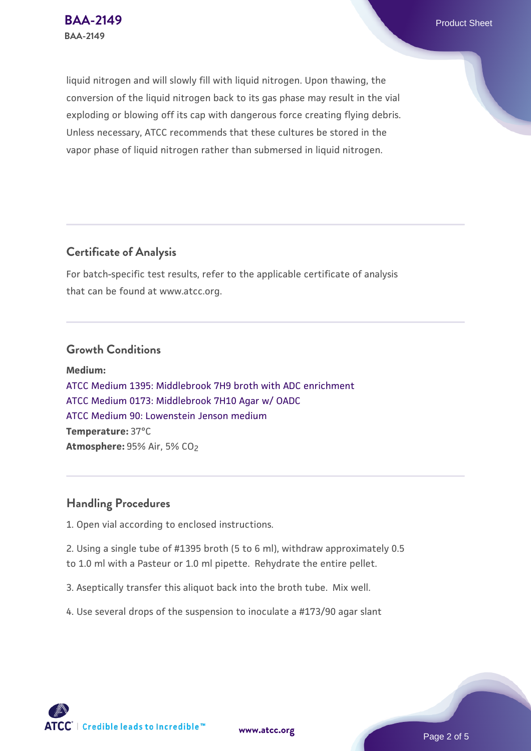liquid nitrogen and will slowly fill with liquid nitrogen. Upon thawing, the conversion of the liquid nitrogen back to its gas phase may result in the vial exploding or blowing off its cap with dangerous force creating flying debris. Unless necessary, ATCC recommends that these cultures be stored in the vapor phase of liquid nitrogen rather than submersed in liquid nitrogen.

# **Certificate of Analysis**

For batch-specific test results, refer to the applicable certificate of analysis that can be found at www.atcc.org.

#### **Growth Conditions**

**Medium:**  [ATCC Medium 1395: Middlebrook 7H9 broth with ADC enrichment](https://www.atcc.org/-/media/product-assets/documents/microbial-media-formulations/1/3/9/5/atcc-medium-1395.pdf?rev=83f84c8c9e994a71a2edb0458ff02218) [ATCC Medium 0173: Middlebrook 7H10 Agar w/ OADC](https://www.atcc.org/-/media/product-assets/documents/microbial-media-formulations/0/1/7/3/atcc-medium-0173.pdf?rev=2fcd87d0ebaf471d8aa6aba3758ef39f) [ATCC Medium 90: Lowenstein Jenson medium](https://www.atcc.org/-/media/product-assets/documents/microbial-media-formulations/9/0/atcc-medium-90.pdf?rev=2af45eec61614a8e9024c1519219fe34) **Temperature:** 37°C **Atmosphere:** 95% Air, 5% CO2

# **Handling Procedures**

1. Open vial according to enclosed instructions.

2. Using a single tube of #1395 broth (5 to 6 ml), withdraw approximately 0.5 to 1.0 ml with a Pasteur or 1.0 ml pipette. Rehydrate the entire pellet.

3. Aseptically transfer this aliquot back into the broth tube. Mix well.

4. Use several drops of the suspension to inoculate a #173/90 agar slant

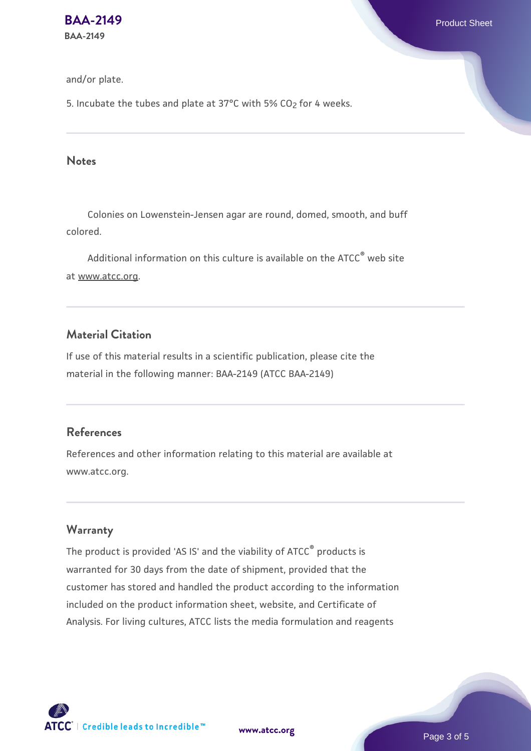#### and/or plate.

5. Incubate the tubes and plate at 37°C with 5%  $CO<sub>2</sub>$  for 4 weeks.

#### **Notes**

 Colonies on Lowenstein-Jensen agar are round, domed, smooth, and buff colored.

Additional information on this culture is available on the ATCC<sup>®</sup> web site at www.atcc.org.

# **Material Citation**

If use of this material results in a scientific publication, please cite the material in the following manner: BAA-2149 (ATCC BAA-2149)

#### **References**

References and other information relating to this material are available at www.atcc.org.

# **Warranty**

The product is provided 'AS IS' and the viability of ATCC® products is warranted for 30 days from the date of shipment, provided that the customer has stored and handled the product according to the information included on the product information sheet, website, and Certificate of Analysis. For living cultures, ATCC lists the media formulation and reagents

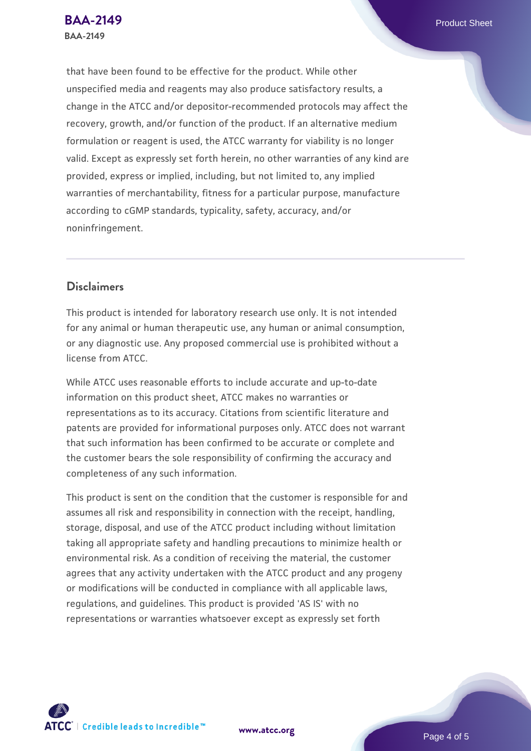that have been found to be effective for the product. While other unspecified media and reagents may also produce satisfactory results, a change in the ATCC and/or depositor-recommended protocols may affect the recovery, growth, and/or function of the product. If an alternative medium formulation or reagent is used, the ATCC warranty for viability is no longer valid. Except as expressly set forth herein, no other warranties of any kind are provided, express or implied, including, but not limited to, any implied warranties of merchantability, fitness for a particular purpose, manufacture according to cGMP standards, typicality, safety, accuracy, and/or noninfringement.

# **Disclaimers**

This product is intended for laboratory research use only. It is not intended for any animal or human therapeutic use, any human or animal consumption, or any diagnostic use. Any proposed commercial use is prohibited without a license from ATCC.

While ATCC uses reasonable efforts to include accurate and up-to-date information on this product sheet, ATCC makes no warranties or representations as to its accuracy. Citations from scientific literature and patents are provided for informational purposes only. ATCC does not warrant that such information has been confirmed to be accurate or complete and the customer bears the sole responsibility of confirming the accuracy and completeness of any such information.

This product is sent on the condition that the customer is responsible for and assumes all risk and responsibility in connection with the receipt, handling, storage, disposal, and use of the ATCC product including without limitation taking all appropriate safety and handling precautions to minimize health or environmental risk. As a condition of receiving the material, the customer agrees that any activity undertaken with the ATCC product and any progeny or modifications will be conducted in compliance with all applicable laws, regulations, and guidelines. This product is provided 'AS IS' with no representations or warranties whatsoever except as expressly set forth



**[www.atcc.org](http://www.atcc.org)**

Page 4 of 5